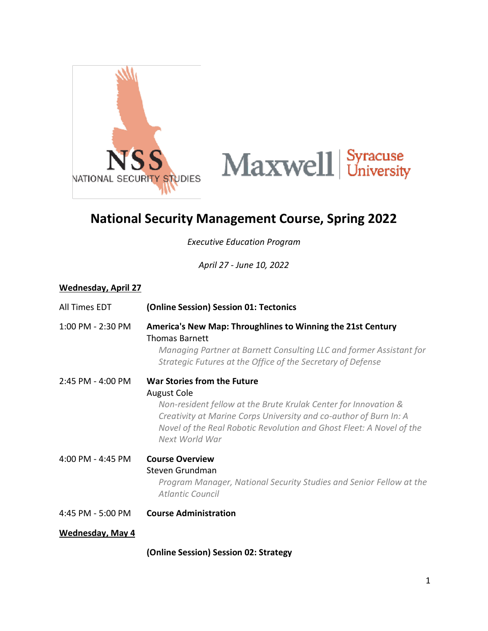



# **National Security Management Course, Spring 2022**

*Executive Education Program*

*April 27 - June 10, 2022* 

# **Wednesday, April 27**

| All Times EDT           | (Online Session) Session 01: Tectonics                                                                                                                                                                                                                                              |
|-------------------------|-------------------------------------------------------------------------------------------------------------------------------------------------------------------------------------------------------------------------------------------------------------------------------------|
| 1:00 PM - 2:30 PM       | America's New Map: Throughlines to Winning the 21st Century<br><b>Thomas Barnett</b><br>Managing Partner at Barnett Consulting LLC and former Assistant for<br>Strategic Futures at the Office of the Secretary of Defense                                                          |
| 2:45 PM - 4:00 PM       | War Stories from the Future<br><b>August Cole</b><br>Non-resident fellow at the Brute Krulak Center for Innovation &<br>Creativity at Marine Corps University and co-author of Burn In: A<br>Novel of the Real Robotic Revolution and Ghost Fleet: A Novel of the<br>Next World War |
| 4:00 PM - 4:45 PM       | <b>Course Overview</b><br>Steven Grundman<br>Program Manager, National Security Studies and Senior Fellow at the<br>Atlantic Council                                                                                                                                                |
| 4:45 PM - 5:00 PM       | <b>Course Administration</b>                                                                                                                                                                                                                                                        |
| <b>Wednesday, May 4</b> |                                                                                                                                                                                                                                                                                     |
|                         | (Online Session) Session 02: Strategy                                                                                                                                                                                                                                               |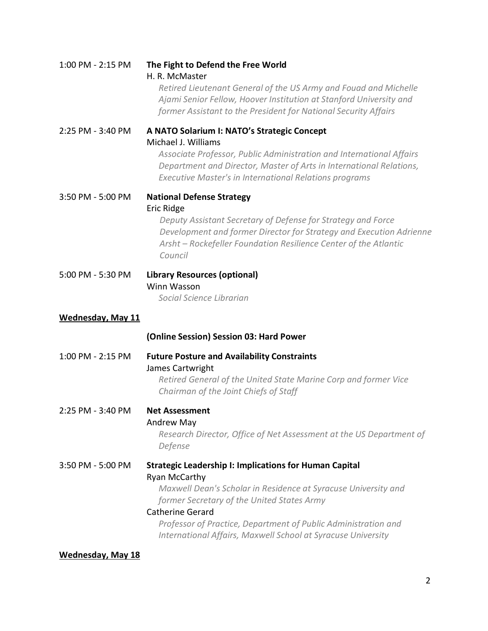| 1:00 PM - 2:15 PM        | The Fight to Defend the Free World<br>H. R. McMaster<br>Retired Lieutenant General of the US Army and Fouad and Michelle<br>Ajami Senior Fellow, Hoover Institution at Stanford University and<br>former Assistant to the President for National Security Affairs                                                                                                  |
|--------------------------|--------------------------------------------------------------------------------------------------------------------------------------------------------------------------------------------------------------------------------------------------------------------------------------------------------------------------------------------------------------------|
| 2:25 PM - 3:40 PM        | A NATO Solarium I: NATO's Strategic Concept<br>Michael J. Williams<br>Associate Professor, Public Administration and International Affairs<br>Department and Director, Master of Arts in International Relations,<br>Executive Master's in International Relations programs                                                                                        |
| 3:50 PM - 5:00 PM        | <b>National Defense Strategy</b><br>Eric Ridge<br>Deputy Assistant Secretary of Defense for Strategy and Force<br>Development and former Director for Strategy and Execution Adrienne<br>Arsht - Rockefeller Foundation Resilience Center of the Atlantic<br>Council                                                                                               |
| 5:00 PM - 5:30 PM        | <b>Library Resources (optional)</b><br>Winn Wasson<br>Social Science Librarian                                                                                                                                                                                                                                                                                     |
| <b>Wednesday, May 11</b> |                                                                                                                                                                                                                                                                                                                                                                    |
|                          | (Online Session) Session 03: Hard Power                                                                                                                                                                                                                                                                                                                            |
| 1:00 PM - 2:15 PM        | <b>Future Posture and Availability Constraints</b><br>James Cartwright<br>Retired General of the United State Marine Corp and former Vice<br>Chairman of the Joint Chiefs of Staff                                                                                                                                                                                 |
| 2:25 PM - 3:40 PM        | <b>Net Assessment</b><br>Andrew May<br>Research Director, Office of Net Assessment at the US Department of<br>Defense                                                                                                                                                                                                                                              |
| 3:50 PM - 5:00 PM        | <b>Strategic Leadership I: Implications for Human Capital</b><br><b>Ryan McCarthy</b><br>Maxwell Dean's Scholar in Residence at Syracuse University and<br>former Secretary of the United States Army<br><b>Catherine Gerard</b><br>Professor of Practice, Department of Public Administration and<br>International Affairs, Maxwell School at Syracuse University |
| <b>Wednesday, May 18</b> |                                                                                                                                                                                                                                                                                                                                                                    |

# 2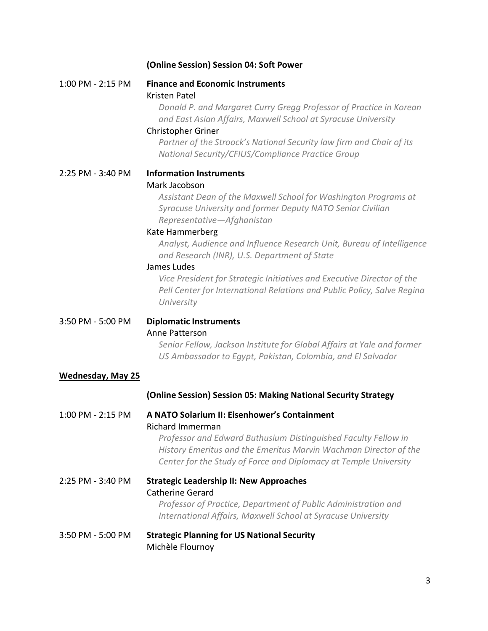| (Online Session) Session 04: Soft Power                                                                                                                                                                                                                                                                                                                   |
|-----------------------------------------------------------------------------------------------------------------------------------------------------------------------------------------------------------------------------------------------------------------------------------------------------------------------------------------------------------|
| <b>Finance and Economic Instruments</b><br><b>Kristen Patel</b><br>Donald P. and Margaret Curry Gregg Professor of Practice in Korean<br>and East Asian Affairs, Maxwell School at Syracuse University<br>Christopher Griner<br>Partner of the Stroock's National Security law firm and Chair of its<br>National Security/CFIUS/Compliance Practice Group |
| <b>Information Instruments</b>                                                                                                                                                                                                                                                                                                                            |
| Mark Jacobson<br>Assistant Dean of the Maxwell School for Washington Programs at<br>Syracuse University and former Deputy NATO Senior Civilian<br>Representative-Afghanistan                                                                                                                                                                              |
| Kate Hammerberg<br>Analyst, Audience and Influence Research Unit, Bureau of Intelligence<br>and Research (INR), U.S. Department of State<br>James Ludes                                                                                                                                                                                                   |
| Vice President for Strategic Initiatives and Executive Director of the<br>Pell Center for International Relations and Public Policy, Salve Regina<br>University                                                                                                                                                                                           |
| <b>Diplomatic Instruments</b>                                                                                                                                                                                                                                                                                                                             |
| Anne Patterson<br>Senior Fellow, Jackson Institute for Global Affairs at Yale and former<br>US Ambassador to Egypt, Pakistan, Colombia, and El Salvador                                                                                                                                                                                                   |
| <b>Wednesday, May 25</b>                                                                                                                                                                                                                                                                                                                                  |
| (Online Session) Session 05: Making National Security Strategy                                                                                                                                                                                                                                                                                            |
| A NATO Solarium II: Eisenhower's Containment<br>Richard Immerman<br>Professor and Edward Buthusium Distinguished Faculty Fellow in<br>History Emeritus and the Emeritus Marvin Wachman Director of the<br>Center for the Study of Force and Diplomacy at Temple University                                                                                |
| <b>Strategic Leadership II: New Approaches</b><br><b>Catherine Gerard</b><br>Professor of Practice, Department of Public Administration and                                                                                                                                                                                                               |
| International Affairs, Maxwell School at Syracuse University                                                                                                                                                                                                                                                                                              |
|                                                                                                                                                                                                                                                                                                                                                           |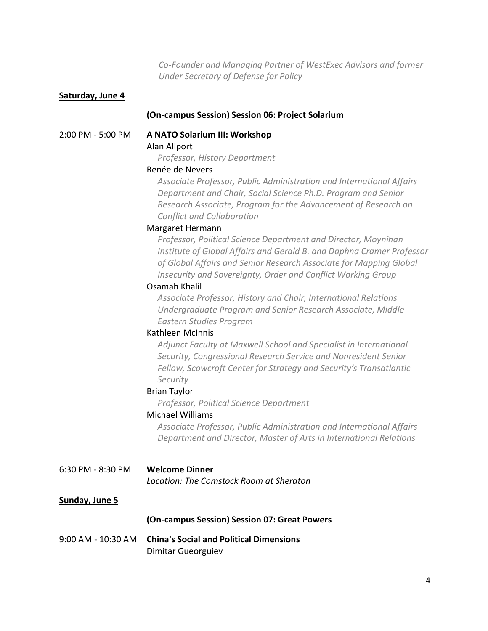*Co-Founder and Managing Partner of WestExec Advisors and former Under Secretary of Defense for Policy* 

## **Saturday, June 4**

#### **(On-campus Session) Session 06: Project Solarium**

## 2:00 PM - 5:00 PM **A NATO Solarium III: Workshop**

## Alan Allport

*Professor, History Department*

### Renée de Nevers

*Associate Professor, Public Administration and International Affairs Department and Chair, Social Science Ph.D. Program and Senior Research Associate, Program for the Advancement of Research on Conflict and Collaboration*

## Margaret Hermann

*Professor, Political Science Department and Director, Moynihan Institute of Global Affairs and Gerald B. and Daphna Cramer Professor of Global Affairs and Senior Research Associate for Mapping Global Insecurity and Sovereignty, Order and Conflict Working Group*

# Osamah Khalil

*Associate Professor, History and Chair, International Relations Undergraduate Program and Senior Research Associate, Middle Eastern Studies Program*

## Kathleen McInnis

*Adjunct Faculty at Maxwell School and Specialist in International Security, Congressional Research Service and Nonresident Senior Fellow, Scowcroft Center for Strategy and Security's Transatlantic Security*

#### Brian Taylor

*Professor, Political Science Department*

### Michael Williams

*Associate Professor, Public Administration and International Affairs Department and Director, Master of Arts in International Relations*

6:30 PM - 8:30 PM **Welcome Dinner**  *Location: The Comstock Room at Sheraton*

#### **Sunday, June 5**

#### **(On-campus Session) Session 07: Great Powers**

9:00 AM - 10:30 AM **China's Social and Political Dimensions**  Dimitar Gueorguiev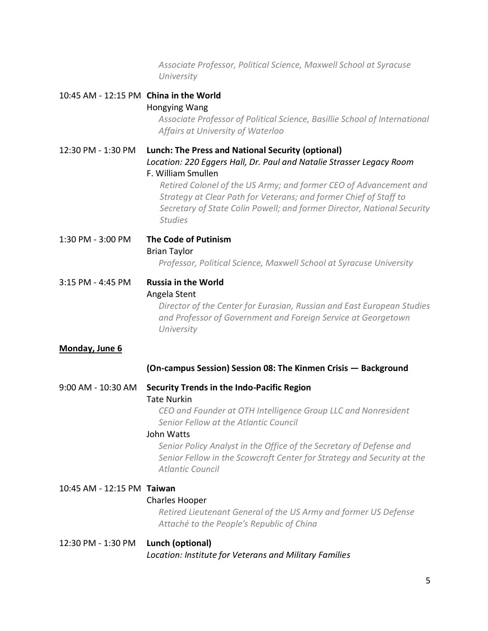*Associate Professor, Political Science, Maxwell School at Syracuse University* 

## 10:45 AM - 12:15 PM **China in the World**  Hongying Wang

*Associate Professor of Political Science, Basillie School of International Affairs at University of Waterloo* 

# 12:30 PM - 1:30 PM **Lunch: The Press and National Security (optional)** *Location: 220 Eggers Hall, Dr. Paul and Natalie Strasser Legacy Room* F. William Smullen *Retired Colonel of the US Army; and former CEO of Advancement and*

*Strategy at Clear Path for Veterans; and former Chief of Staff to Secretary of State Colin Powell; and former Director, National Security Studies*

1:30 PM - 3:00 PM **The Code of Putinism**  Brian Taylor *Professor, Political Science, Maxwell School at Syracuse University* 

# 3:15 PM - 4:45 PM **Russia in the World**

## Angela Stent

*Director of the Center for Eurasian, Russian and East European Studies and Professor of Government and Foreign Service at Georgetown University* 

# **Monday, June 6**

# **(On-campus Session) Session 08: The Kinmen Crisis — Background**

9:00 AM - 10:30 AM **Security Trends in the Indo-Pacific Region**  Tate Nurkin

> *CEO and Founder at OTH Intelligence Group LLC and Nonresident Senior Fellow at the Atlantic Council*

# John Watts

*Senior Policy Analyst in the Office of the Secretary of Defense and Senior Fellow in the Scowcroft Center for Strategy and Security at the Atlantic Council* 

# 10:45 AM - 12:15 PM **Taiwan**

# Charles Hooper

*Retired Lieutenant General of the US Army and former US Defense Attaché to the People's Republic of China* 

## 12:30 PM - 1:30 PM **Lunch (optional)** *Location: Institute for Veterans and Military Families*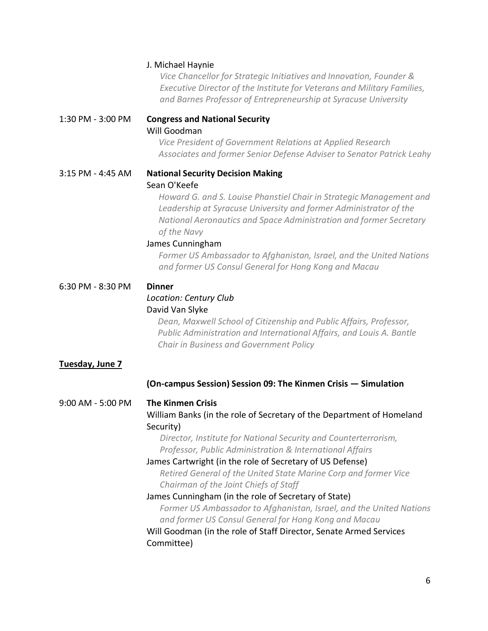|                   | J. Michael Haynie<br>Vice Chancellor for Strategic Initiatives and Innovation, Founder &<br>Executive Director of the Institute for Veterans and Military Families,<br>and Barnes Professor of Entrepreneurship at Syracuse University                                                                                                                                                                                                                                                                                                                                                                                                                                              |
|-------------------|-------------------------------------------------------------------------------------------------------------------------------------------------------------------------------------------------------------------------------------------------------------------------------------------------------------------------------------------------------------------------------------------------------------------------------------------------------------------------------------------------------------------------------------------------------------------------------------------------------------------------------------------------------------------------------------|
| 1:30 PM - 3:00 PM | <b>Congress and National Security</b><br>Will Goodman<br>Vice President of Government Relations at Applied Research<br>Associates and former Senior Defense Adviser to Senator Patrick Leahy                                                                                                                                                                                                                                                                                                                                                                                                                                                                                        |
| 3:15 PM - 4:45 AM | <b>National Security Decision Making</b><br>Sean O'Keefe<br>Howard G. and S. Louise Phanstiel Chair in Strategic Management and<br>Leadership at Syracuse University and former Administrator of the<br>National Aeronautics and Space Administration and former Secretary<br>of the Navy<br>James Cunningham<br>Former US Ambassador to Afghanistan, Israel, and the United Nations<br>and former US Consul General for Hong Kong and Macau                                                                                                                                                                                                                                        |
| 6:30 PM - 8:30 PM | <b>Dinner</b><br>Location: Century Club<br>David Van Slyke<br>Dean, Maxwell School of Citizenship and Public Affairs, Professor,<br>Public Administration and International Affairs, and Louis A. Bantle<br>Chair in Business and Government Policy                                                                                                                                                                                                                                                                                                                                                                                                                                 |
| Tuesday, June 7   |                                                                                                                                                                                                                                                                                                                                                                                                                                                                                                                                                                                                                                                                                     |
|                   | (On-campus Session) Session 09: The Kinmen Crisis - Simulation                                                                                                                                                                                                                                                                                                                                                                                                                                                                                                                                                                                                                      |
| 9:00 AM - 5:00 PM | <b>The Kinmen Crisis</b><br>William Banks (in the role of Secretary of the Department of Homeland<br>Security)<br>Director, Institute for National Security and Counterterrorism,<br>Professor, Public Administration & International Affairs<br>James Cartwright (in the role of Secretary of US Defense)<br>Retired General of the United State Marine Corp and former Vice<br>Chairman of the Joint Chiefs of Staff<br>James Cunningham (in the role of Secretary of State)<br>Former US Ambassador to Afghanistan, Israel, and the United Nations<br>and former US Consul General for Hong Kong and Macau<br>Will Goodman (in the role of Staff Director, Senate Armed Services |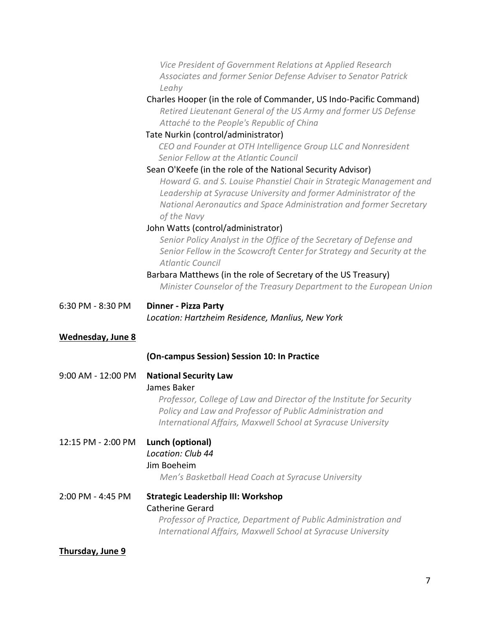|                          | Vice President of Government Relations at Applied Research<br>Associates and former Senior Defense Adviser to Senator Patrick<br>Leahy                                                                                                                                                       |
|--------------------------|----------------------------------------------------------------------------------------------------------------------------------------------------------------------------------------------------------------------------------------------------------------------------------------------|
|                          | Charles Hooper (in the role of Commander, US Indo-Pacific Command)<br>Retired Lieutenant General of the US Army and former US Defense<br>Attaché to the People's Republic of China                                                                                                           |
|                          | Tate Nurkin (control/administrator)<br>CEO and Founder at OTH Intelligence Group LLC and Nonresident<br>Senior Fellow at the Atlantic Council                                                                                                                                                |
|                          | Sean O'Keefe (in the role of the National Security Advisor)<br>Howard G. and S. Louise Phanstiel Chair in Strategic Management and<br>Leadership at Syracuse University and former Administrator of the<br>National Aeronautics and Space Administration and former Secretary<br>of the Navy |
|                          | John Watts (control/administrator)<br>Senior Policy Analyst in the Office of the Secretary of Defense and<br>Senior Fellow in the Scowcroft Center for Strategy and Security at the<br><b>Atlantic Council</b>                                                                               |
|                          | Barbara Matthews (in the role of Secretary of the US Treasury)<br>Minister Counselor of the Treasury Department to the European Union                                                                                                                                                        |
| 6:30 PM - 8:30 PM        | <b>Dinner - Pizza Party</b><br>Location: Hartzheim Residence, Manlius, New York                                                                                                                                                                                                              |
| <b>Wednesday, June 8</b> |                                                                                                                                                                                                                                                                                              |
|                          | (On-campus Session) Session 10: In Practice                                                                                                                                                                                                                                                  |
| 9:00 AM - 12:00 PM       | <b>National Security Law</b><br>James Baker                                                                                                                                                                                                                                                  |
|                          | Professor, College of Law and Director of the Institute for Security<br>Policy and Law and Professor of Public Administration and<br>International Affairs, Maxwell School at Syracuse University                                                                                            |
| 12:15 PM - 2:00 PM       | Lunch (optional)<br>Location: Club 44<br>Jim Boeheim                                                                                                                                                                                                                                         |
|                          | Men's Basketball Head Coach at Syracuse University                                                                                                                                                                                                                                           |
| 2:00 PM - 4:45 PM        | <b>Strategic Leadership III: Workshop</b><br><b>Catherine Gerard</b><br>Professor of Practice, Department of Public Administration and                                                                                                                                                       |
|                          | International Affairs, Maxwell School at Syracuse University                                                                                                                                                                                                                                 |
| Thursday, June 9         |                                                                                                                                                                                                                                                                                              |